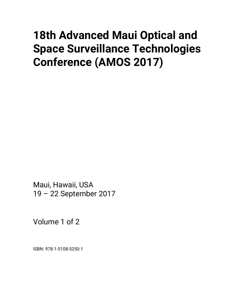# **18th Advanced Maui Optical and Space Surveillance Technologies Conference (AMOS 2017)**

Maui, Hawaii, USA 19 – 22 September 2017

Volume 1 of 2

ISBN: 978-1-5108-5250-1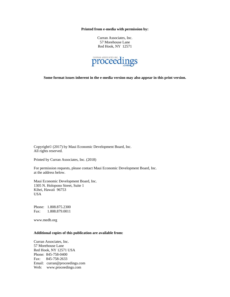**Printed from e-media with permission by:** 

Curran Associates, Inc. 57 Morehouse Lane Red Hook, NY 12571



**Some format issues inherent in the e-media version may also appear in this print version.** 

Copyright© (2017) by Maui Economic Development Board, Inc. All rights reserved.

Printed by Curran Associates, Inc. (2018)

For permission requests, please contact Maui Economic Development Board, Inc. at the address below.

Maui Economic Development Board, Inc. 1305 N. Holopono Street, Suite 1 Kihei, Hawaii 96753 USA

Phone: 1.808.875.2300 Fax: 1.808.879.0011

www.medb.org

#### **Additional copies of this publication are available from:**

Curran Associates, Inc. 57 Morehouse Lane Red Hook, NY 12571 USA Phone: 845-758-0400 Fax: 845-758-2633 Email: curran@proceedings.com Web: www.proceedings.com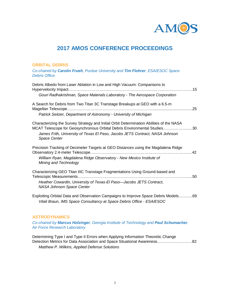

# **2017 AMOS CONFERENCE PROCEEDINGS**

#### **ORBITAL DEBRIS**

*Co-chaired by Carolin Frueh, Purdue University and Tim Flohrer, ESA/ESOC Space Debris Office*

| Debris Albedo from Laser Ablation in Low and High Vacuum: Comparisons to                                                                                                                                                                                             |  |
|----------------------------------------------------------------------------------------------------------------------------------------------------------------------------------------------------------------------------------------------------------------------|--|
| Gouri Radhakrishnan, Space Materials Laboratory - The Aerospace Corporation                                                                                                                                                                                          |  |
| A Search for Debris from Two Titan 3C Transtage Breakups at GEO with a 6.5-m<br>Patrick Seitzer, Department of Astronomy - University of Michigan                                                                                                                    |  |
| Characterizing the Survey Strategy and Initial Orbit Determination Abilities of the NASA<br>MCAT Telescope for Geosynchronous Orbital Debris Environmental Studies30<br>James Frith, University of Texas El Paso, Jacobs JETS Contract, NASA Johnson<br>Space Center |  |
| Precision Tracking of Decimeter Targets at GEO Distances using the Magdalena Ridge<br>William Ryan, Magdalena Ridge Observatory - New Mexico Institute of<br>Mining and Technology                                                                                   |  |
| Characterizing GEO Titan IIIC Transtage Fragmentations Using Ground-based and<br>Heather Cowardin, University of Texas-El Paso-Jacobs JETS Contract,<br><b>NASA Johnson Space Center</b>                                                                             |  |
| Exploiting Orbital Data and Observation Campaigns to Improve Space Debris Models69<br>Vitali Braun, IMS Space Consultancy at Space Debris Office - ESA/ESOC                                                                                                          |  |

#### **ASTRODYNAMICS**

*Co-chaired by Marcus Holzinger, Georgia Institute of Technology and Paul Schumacher, Air Force Research Laboratory*

Determining Type I and Type II Errors when Applying Information Theoretic Change Detection Metrics for Data Association and Space Situational Awareness………………………82 *Matthew P. Wilkins, Applied Defense Solutions*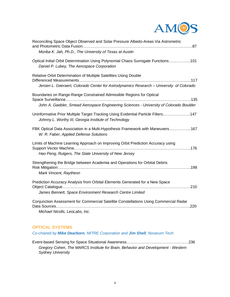

| Reconciling Space Object Observed and Solar Pressure Albedo-Areas Via Astrometric                                                                              |
|----------------------------------------------------------------------------------------------------------------------------------------------------------------|
| Moriba K. Jah, Ph.D., The University of Texas at Austin                                                                                                        |
| Optical Initial Orbit Determination Using Polynomial Chaos Surrogate Functions101<br>Daniel P. Lubey, The Aerospace Corporation                                |
| Relative Orbit Determination of Multiple Satellites Using Double<br>Jeroen L. Geeraert, Colorado Center for Astrodynamics Research - University of Colorado    |
|                                                                                                                                                                |
| Boundaries on Range-Range Constrained Admissible Regions for Optical<br>John A. Gaebler, Smead Aerospace Engineering Sciences - University of Colorado Boulder |
| Uninformative Prior Multiple Target Tracking Using Evidential Particle Filters147<br>Johnny L. Worthy III, Georgia Institute of Technology                     |
| FBK Optical Data Association in a Multi-Hypothesis Framework with Maneuvers167<br>W. R. Faber, Applied Defense Solutions                                       |
| Limits of Machine Learning Approach on Improving Orbit Prediction Accuracy using                                                                               |
| Hao Peng, Rutgers, The State University of New Jersey                                                                                                          |
| Strengthening the Bridge between Academia and Operations for Orbital Debris<br>Mark Vincent, Raytheon                                                          |
| Prediction Accuracy Analysis from Orbital Elements Generated for a New Space<br>James Bennett, Space Environment Research Centre Limited                       |
| Conjunction Assessment for Commercial Satellite Constellations Using Commercial Radar<br>Michael Nicolls, LeoLabs, Inc.                                        |

#### **OPTICAL SYSTEMS**

*Co-chaired by Mike Dearborn, MITRE Corporation and Jim Shell, Novarum Tech*

Event-based Sensing for Space Situational Awareness…………………………………………236 *Gregory Cohen, The MARCS Institute for Brain, Behavior and Development - Western Sydney University*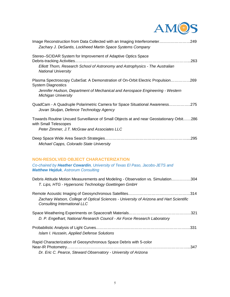

| Image Reconstruction from Data Collected with an Imaging Interferometer249<br>Zachary J. DeSantis, Lockheed Martin Space Systems Company                                                                                    |
|-----------------------------------------------------------------------------------------------------------------------------------------------------------------------------------------------------------------------------|
| Stereo–SCIDAR System for Improvement of Adaptive Optics Space<br>Elliott Thorn, Research School of Astronomy and Astrophysics - The Australian<br><b>National University</b>                                                |
| Plasma Spectroscopy CubeSat: A Demonstration of On-Orbit Electric Propulsion269<br><b>System Diagnostics</b><br>Jennifer Hudson, Department of Mechanical and Aerospace Engineering - Western<br><b>Michigan University</b> |
| QuadCam - A Quadruple Polarimetric Camera for Space Situational Awareness275<br>Jovan Skuljan, Defence Technology Agency                                                                                                    |
| Towards Routine Uncued Surveillance of Small Objects at and near Geostationary Orbit286<br>with Small Telescopes<br>Peter Zimmer, J.T. McGraw and Associates LLC                                                            |
| Michael Capps, Colorado State University                                                                                                                                                                                    |

## **NON-RESOLVED OBJECT CHARACTERIZATION**

*Co-chaired by Heather Cowardin, University of Texas El Paso, Jacobs-JETS and Matthew Hejduk, Astrorum Consulting*

| Debris Attitude Motion Measurements and Modeling - Observation vs. Simulation304<br>T. Lips, HTG - Hypersonic Technology Goettingen GmbH |
|------------------------------------------------------------------------------------------------------------------------------------------|
| Zachary Watson, College of Optical Sciences - University of Arizona and Hart Scientific<br><b>Consulting International LLC</b>           |
| D. P. Engelhart, National Research Council - Air Force Research Laboratory                                                               |
| Islam I. Hussein, Applied Defense Solutions                                                                                              |
| Rapid Characterization of Geosynchronous Space Debris with 5-color<br>.347                                                               |
| Dr. Eric C. Pearce, Steward Observatory - University of Arizona                                                                          |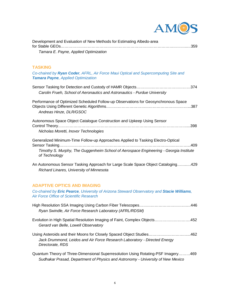

| Development and Evaluation of New Methods for Estimating Albedo-area                                                                              |
|---------------------------------------------------------------------------------------------------------------------------------------------------|
| Tamara E. Payne, Applied Optimization                                                                                                             |
| <b>TASKING</b>                                                                                                                                    |
| Co-chaired by Ryan Coder, AFRL, Air Force Maui Optical and Supercomputing Site and<br><b>Tamara Payne, Applied Optimization</b>                   |
| Carolin Frueh, School of Aeronautics and Astronautics - Purdue University                                                                         |
| Performance of Optimized Scheduled Follow-up Observations for Geosynchronous Space<br>Andreas Hinze, DLR/GSOC                                     |
| Autonomous Space Object Catalogue Construction and Upkeep Using Sensor<br>Nicholas Moretti, Inovor Technologies                                   |
| Generalized Minimum-Time Follow-up Approaches Applied to Tasking Electro-Optical                                                                  |
| Timothy S. Murphy, The Guggenheim School of Aerospace Engineering - Georgia Institute<br>of Technology                                            |
| An Autonomous Sensor Tasking Approach for Large Scale Space Object Cataloging429<br>Richard Linares, University of Minnesota                      |
| <b>ADAPTIVE OPTICS AND IMAGING</b>                                                                                                                |
| Co-chaired by Eric Pearce, University of Arizona Steward Observatory and Stacie Williams,<br><b>Air Force Office of Scientific Research</b>       |
| Ryan Swindle, Air Force Research Laboratory (AFRL/RDSM)                                                                                           |
| Evolution in High Spatial Resolution Imaging of Faint, Complex Objects452<br>Gerard van Belle, Lowell Observatory                                 |
| Using Asteroids and their Moons for Closely Spaced Object Studies462<br>Jack Drummond, Leidos and Air Force Research Laboratory - Directed Energy |

*Directorate, RDS*

Quantum Theory of Three-Dimensional Superresolution Using Rotating-PSF Imagery………469 *Sudhakar Prasad, Department of Physics and Astronomy - University of New Mexico*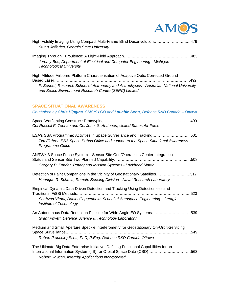

| High-Fidelity Imaging Using Compact Multi-Frame Blind Deconvolution479<br>Stuart Jefferies, Georgia State University                                                                                                 |
|----------------------------------------------------------------------------------------------------------------------------------------------------------------------------------------------------------------------|
| Jeremy Bos, Department of Electrical and Computer Engineering - Michigan<br><b>Technological University</b>                                                                                                          |
| High-Altitude Airborne Platform Characterisation of Adaptive Optic Corrected Ground                                                                                                                                  |
| F. Bennet, Research School of Astronomy and Astrophysics - Australian National University<br>and Space Environment Research Centre (SERC) Limited                                                                    |
| <b>SPACE SITUATIONAL AWARENESS</b>                                                                                                                                                                                   |
| Co-chaired by Chris Higgins, SMC/SYGO and Lauchie Scott, Defence R&D Canada - Ottawa                                                                                                                                 |
| Col Russell F. Teehan and Col John. S. Anttonen, United States Air Force                                                                                                                                             |
| ESA's SSA Programme: Activities in Space Surveillance and Tracking501<br>Tim Flohrer, ESA Space Debris Office and support to the Space Situational Awareness<br>Programme Office                                     |
| AN/FSY-3 Space Fence System - Sensor Site One/Operations Center Integration<br>Gregory P. Fonder, Rotary and Mission Systems - Lockheed Martin                                                                       |
| Detection of Faint Companions in the Vicinity of Geostationary Satellites517<br>Henrique R. Schmitt, Remote Sensing Division - Naval Research Laboratory                                                             |
| Empirical Dynamic Data Driven Detection and Tracking Using Detectionless and<br>523<br>Shahzad Virani, Daniel Guggenheim School of Aerospace Engineering - Georgia<br>Institute of Technology                        |
| An Autonomous Data Reduction Pipeline for Wide Angle EO Systems539<br>Grant Privett, Defence Science & Technology Laboratory                                                                                         |
| Medium and Small Aperture Speckle Interferometry for Geostationary On-Orbit-Servicing<br>549<br>Robert (Lauchie) Scott, PhD, P.Eng, Defence R&D Canada Ottawa                                                        |
| The Ultimate Big Data Enterprise Initiative: Defining Functional Capabilities for an<br>International Information System (IIS) for Orbital Space Data (OSD)563<br>Robert Raygan, Integrity Applications Incorporated |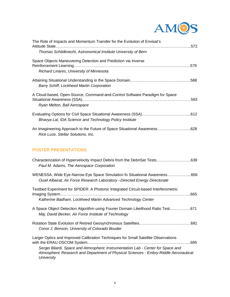

| The Role of Impacts and Momentum Transfer for the Evolution of Envisat's    |  |
|-----------------------------------------------------------------------------|--|
| Thomas Schildknecht, Astronomical Institute University of Bern              |  |
| Space Objects Maneuvering Detection and Prediction via Inverse              |  |
| Richard Linares, University of Minnesota                                    |  |
| <b>Barry Schiff, Lockheed Martin Corporation</b>                            |  |
| A Cloud-based, Open-Source, Command-and-Control Software Paradigm for Space |  |
| Ryan Melton, Ball Aerospace                                                 |  |
| Bhavya Lal, IDA Science and Technology Policy Institute                     |  |

### **POSTER PRESENTATIONS**

| Characterization of Hypervelocity Impact Debris from the DebriSat Tests639<br>Paul M. Adams, The Aerospace Corporation                                                                                                                                                       |
|------------------------------------------------------------------------------------------------------------------------------------------------------------------------------------------------------------------------------------------------------------------------------|
| WENESSA, Wide Eye-Narrow Eye Space Simulation fo Situational Awareness656<br>Ouail Albairat, Air Force Research Laboratory – Directed Energy Directorate                                                                                                                     |
| Testbed Experiment for SPIDER: A Photonic Integrated Circuit-based Interferometric<br>Katherine Badham, Lockheed Martin Advanced Technology Center                                                                                                                           |
| A Space Object Detection Algorithm using Fourier Domain Likelihood Ratio Test671                                                                                                                                                                                             |
| Maj. David Becker, Air Force Institute of Technology                                                                                                                                                                                                                         |
| Conor J. Benson, University of Colorado Bouder                                                                                                                                                                                                                               |
| Larger Optics and Improved Calibration Techniques for Small Satellite Observations<br>Sergei Bilardi, Space and Atmospheric Instrumentation Lab - Center for Space and<br>Atmospheric Research and Department of Physical Sciences - Embry-Riddle Aeronautical<br>University |
|                                                                                                                                                                                                                                                                              |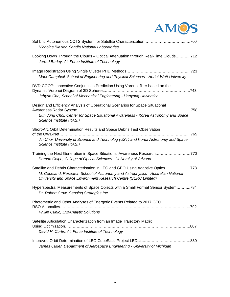

| Nicholas Blazier, Sandia National Laboratories                                                                                                                                                                                       |
|--------------------------------------------------------------------------------------------------------------------------------------------------------------------------------------------------------------------------------------|
| Looking Down Through the Clouds - Optical Attenuation through Real-Time Clouds712<br>Jarred Burley, Air Force Institute of Technology                                                                                                |
| Mark Campbell, School of Engineering and Physical Sciences - Heriot-Watt University                                                                                                                                                  |
| DVD-COOP: Innovative Conjunction Prediction Using Voronoi-filter based on the<br>Jehyun Cha, School of Mechanical Engineering - Hanyang University                                                                                   |
| Design and Efficiency Analysis of Operational Scenarios for Space Situational                                                                                                                                                        |
| Eun Jung Choi, Center for Space Situational Awareness - Korea Astronomy and Space<br>Science Institute (KASI)                                                                                                                        |
| Short-Arc Orbit Determination Results and Space Debris Test Observation                                                                                                                                                              |
| Jin Choi, University of Science and Technolog (UST) and Korea Astronomy and Space<br>Science Institute (KASI)                                                                                                                        |
| Training the Next Generation in Space Situational Awareness Research770<br>Damon Colpo, College of Optical Sciences - University of Arizona                                                                                          |
| Satellite and Debris Characterisation in LEO and GEO Using Adaptive Optics778<br>M. Copeland, Research School of Astronomy and Astrophysics - Australian National<br>University and Space Environment Research Centre (SERC Limited) |
| Hyperspectral Measurements of Space Objects with a Small Format Sensor System784<br>Dr. Robert Crow, Sensing Strategies Inc.                                                                                                         |
| Photometric and Other Analyses of Energetic Events Related to 2017 GEO                                                                                                                                                               |
|                                                                                                                                                                                                                                      |
| RSO Anomalies<br>792<br>Phillip Cunio, ExoAnalytic Solutions                                                                                                                                                                         |
| Satellite Articulation Characterization from an Image Trajectory Matrix<br>David H. Curtis, Air Force Institute of Technology                                                                                                        |
| James Cutler, Department of Aerospace Engineering - University of Michigan                                                                                                                                                           |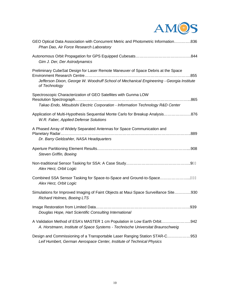

| GEO Optical Data Association with Concurrent Metric and Photometric Information836<br>Phan Dao, Air Force Research Laboratory                                                                  |
|------------------------------------------------------------------------------------------------------------------------------------------------------------------------------------------------|
| Gim J. Der, Der Astrodynamics                                                                                                                                                                  |
| Preliminary CubeSat Design for Laser Remote Maneuver of Space Debris at the Space<br>Jefferson Dixon, George W. Woodruff School of Mechanical Engineering - Georgia Institute<br>of Technology |
| Spectroscopic Characterization of GEO Satellites with Gunma LOW                                                                                                                                |
| Takao Endo, Mitsubishi Electric Corporation - Information Technology R&D Center                                                                                                                |
| Application of Multi-Hypothesis Sequential Monte Carlo for Breakup Analysis876<br>W.R. Faber, Applied Defense Solutions                                                                        |
| A Phased Array of Widely Separated Antennas for Space Communication and                                                                                                                        |
| Dr. Barry Geldzahler, NASA Headquarters                                                                                                                                                        |
| Steven Griffin, Boeing                                                                                                                                                                         |
| Alex Herz, Orbit Logic                                                                                                                                                                         |
| Combined SSA Sensor Tasking for Space-to-Space and Ground-to-SpaceJ€J<br>Alex Herz, Orbit Logic                                                                                                |
| Simulations for Improved Imaging of Faint Objects at Maui Space Surveillance Site930<br>Richard Holmes, Boeing LTS                                                                             |
| Douglas Hope, Hart Scientific Consulting International                                                                                                                                         |
| A Validation Method of ESA's MASTER 1 cm Population in Low Earth Orbit942<br>A. Horstmann, Institute of Space Systems - Technische Universitat Braunschweig                                    |
| Design and Commissioning of a Transportable Laser Ranging Station STAR-C953<br>Leif Humbert, German Aerospace Center, Institute of Technical Physics                                           |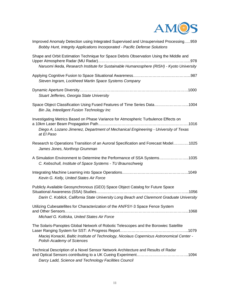

| Improved Anomaly Detection using Integrated Supervised and Unsupervised Processing959<br>Bobby Hunt, Integrity Applications Incorporated - Pacific Defense Solutions                                            |
|-----------------------------------------------------------------------------------------------------------------------------------------------------------------------------------------------------------------|
| Shape and Orbit Estimation Technique for Space Debris Observation Using the Middle and<br>Naruomi Ikeda, Research Institute for Sustainable Humanosphere (RISH) - Kyoto University                              |
| Steven Ingram, Lockheed Martin Space Systems Company                                                                                                                                                            |
| Stuart Jefferies, Georgia State University                                                                                                                                                                      |
| Space Object Classification Using Fused Features of Time Series Data1004<br>Bin Jia, Inteeligent Fusion Technology Inc                                                                                          |
| Investigating Metrics Based on Phase Variance for Atmospheric Turbulence Effects on<br>Diego A. Lozano Jimenez, Department of Mechanical Engineering - University of Texas<br>at El Paso                        |
| Research to Operations Transition of an Auroral Specification and Forecast Model1025<br>James Jones, Northrop Grumman                                                                                           |
| A Simulation Environment to Determine the Performance of SSA Systems1035<br>C. Kebschull, Institute of Space Systems - TU Braunschweig                                                                          |
| Kevin G. Kelly, United States Air Force                                                                                                                                                                         |
| Publicly Available Geosynchronous (GEO) Space Object Catalog for Future Space<br>Darin C. Koblick, California State University Long Beach and Claremont Graduate University                                     |
| Utilizing Cubesatellites for Characterization of the AN/FSY-3 Space Fence System<br>Michael G. Koltiska, United States Air Force                                                                                |
| The Solaris-Panoptes Global Network of Robotic Telescopes and the Borowiec Satellite<br>Maciej Konacki, Baltic Institute of Technology, Nicolaus Copernicus Astronomical Center -<br>Polish Academy of Sciences |
| Technical Description of a Novel Sensor Network Architecture and Results of Radar<br>Darcy Ladd, Science and Technology Facilities Council                                                                      |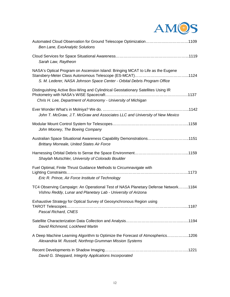

| Automated Cloud Observation for Ground Telescope Optimization1109<br>Ben Lane, ExoAnalytic Solutions                                                        |
|-------------------------------------------------------------------------------------------------------------------------------------------------------------|
| Sarah Law, Raytheon                                                                                                                                         |
| NASA's Optical Program on Ascension Island: Bringing MCAT to Life as the Eugene<br>S. M. Lederer, NASA Johnson Space Center - Orbital Debris Program Office |
| Distinguishing Active Box-Wing and Cylindrical Geostationary Satellites Using IR<br>Chris H. Lee, Department of Astronomy - University of Michigan          |
| John T. McGraw, J.T. McGraw and Associates LLC and University of New Mexico                                                                                 |
| John Mooney, The Boeing Company                                                                                                                             |
| Australian Space Situational Awareness Capability Demonstrations1151<br><b>Brittany Morreale, United States Air Force</b>                                   |
| Shaylah Mutschler, University of Colorado Boulder                                                                                                           |
| Fuel Optimal, Finite Thrust Guidance Methods to Circumnavigate with<br>Eric R. Prince, Air Force Institute of Technology                                    |
| TC4 Observing Campaign: An Operational Test of NASA Planetary Defense Network1184<br>Vishnu Reddy, Lunar and Planetary Lab - University of Arizona          |
| Exhaustive Strategy for Optical Survey of Geosynchronous Region using<br>Pascal Richard, CNES                                                               |
| David Richmond, Lockheed Martin                                                                                                                             |
| A Deep Machine Learning Algorithm to Optimize the Forecast of Atmospherics1206<br>Alexandria M. Russell, Northrop Grumman Mission Systems                   |
| David G. Sheppard, Integrity Applications Incorporated                                                                                                      |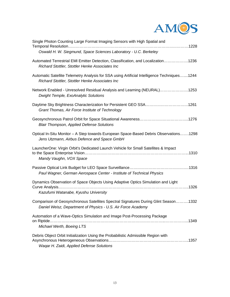

| Single Photon Counting Large Format Imaging Sensors with High Spatial and<br>Oswald H. W. Siegmund, Space Sciences Laboratory - U.C. Berkeley       |
|-----------------------------------------------------------------------------------------------------------------------------------------------------|
| Automated Terrestrial EMI Emitter Detection, Classification, and Localization1236<br>Richard Stottler, Stottler Henke Associates Inc                |
| Automatic Satellite Telemetry Analysis for SSA using Artificial Intelligence Techniques1244<br>Richard Stottler, Stottler Henke Associates Inc      |
| Network Enabled - Unresolved Residual Analysis and Learning (NEURAL)1253<br><b>Dwight Temple, ExoAnalytic Solutions</b>                             |
| Daytime Sky Brightness Characterization for Persistent GEO SSA1261<br>Grant Thomas, Air Force Institute of Technology                               |
| <b>Blair Thompson, Applied Defense Solutions</b>                                                                                                    |
| Optical In-Situ Monitor - A Step towards European Space-Based Debris Observations1298<br>Jens Utzmann, Airbus Defence and Space GmbH                |
| LauncherOne: Virgin Orbit's Dedicated Launch Vehicle for Small Satellites & Impact<br>Mandy Vaughn, VOX Space                                       |
| Paul Wagner, German Aerospace Center - Institute of Technical Physics                                                                               |
| Dynamics Observation of Space Objects Using Adaptive Optics Simulation and Light<br>Kazufumi Watanabe, Kyushu University                            |
| Comparison of Geosynchronous Satellites Spectral Signatures During Glint Season1332<br>Daniel Weisz, Department of Physics - U.S. Air Force Academy |
| Automation of a Wave-Optics Simulation and Image Post-Processing Package                                                                            |
| Michael Werth, Boeing LTS                                                                                                                           |
| Debris Object Orbit Initialization Using the Probabilistic Admissible Region with<br>Wagar H. Zaidi, Applied Defense Solutions                      |